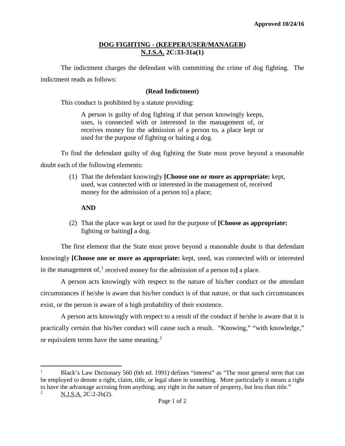## **DOG FIGHTING - (KEEPER/USER/MANAGER) N.J.S.A. 2C:33-31a(1)**

The indictment charges the defendant with committing the crime of dog fighting. The indictment reads as follows:

## **(Read Indictment)**

This conduct is prohibited by a statute providing:

A person is guilty of dog fighting if that person knowingly keeps, uses, is connected with or interested in the management of, or receives money for the admission of a person to, a place kept or used for the purpose of fighting or baiting a dog.

To find the defendant guilty of dog fighting the State must prove beyond a reasonable doubt each of the following elements:

> (1) That the defendant knowingly **[Choose one or more as appropriate:** kept, used, was connected with or interested in the management of, received money for the admission of a person to] a place;

## **AND**

 (2) That the place was kept or used for the purpose of **[Choose as appropriate:**  fighting or baiting**]** a dog.

The first element that the State must prove beyond a reasonable doubt is that defendant knowingly **[Choose one or more as appropriate:** kept, used, was connected with or interested in the management of,<sup>[1](#page-0-0)</sup> received money for the admission of a person to a place.

A person acts knowingly with respect to the nature of his/her conduct or the attendant circumstances if he/she is aware that his/her conduct is of that nature, or that such circumstances exist, or the person is aware of a high probability of their existence.

A person acts knowingly with respect to a result of the conduct if he/she is aware that it is practically certain that his/her conduct will cause such a result. "Knowing," "with knowledge," or equivalent terms have the same meaning. $<sup>2</sup>$  $<sup>2</sup>$  $<sup>2</sup>$ </sup>

 $\overline{\phantom{a}}$ 

<span id="page-0-1"></span><span id="page-0-0"></span><sup>&</sup>lt;sup>1</sup> Black's Law Dictionary 560 (6th ed. 1991) defines "interest" as "The most general term that can be employed to denote a right, claim, title, or legal share in something. More particularly it means a right to have the advantage accruing from anything; any right in the nature of property, but less than title."